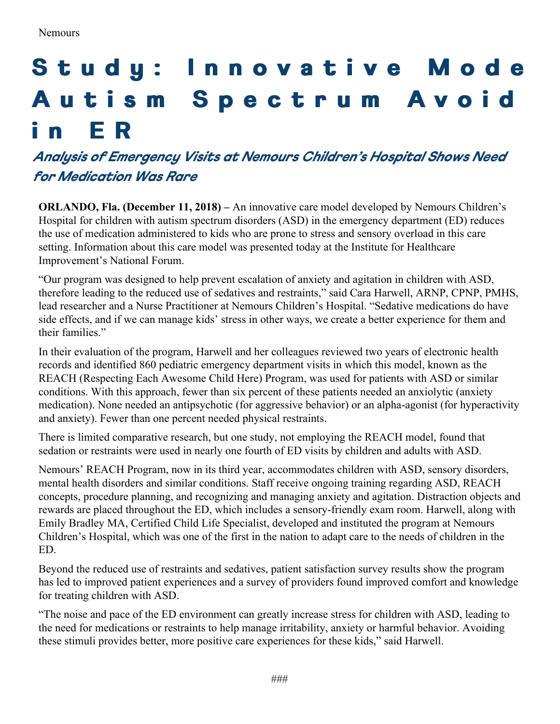## Study: Innovative Mode Autism Spectrum Avoid **i n E R**

## *Analysis of Emergency Visits at Nemours Children's Hospital Shows Need for Medication Was Rare*

**ORLANDO, Fla. (December 11, 2018) –** An innovative care model developed by Nemours Children's Hospital for children with autism spectrum disorders (ASD) in the emergency department (ED) reduces the use of medication administered to kids who are prone to stress and sensory overload in this care setting. Information about this care model was presented today at the Institute for Healthcare Improvement's National Forum.

"Our program was designed to help prevent escalation of anxiety and agitation in children with ASD, therefore leading to the reduced use of sedatives and restraints," said Cara Harwell, ARNP, CPNP, PMHS, lead researcher and a Nurse Practitioner at Nemours Children's Hospital. "Sedative medications do have side effects, and if we can manage kids' stress in other ways, we create a better experience for them and their families."

In their evaluation of the program, Harwell and her colleagues reviewed two years of electronic health records and identified 860 pediatric emergency department visits in which this model, known as the REACH (Respecting Each Awesome Child Here) Program, was used for patients with ASD or similar conditions. With this approach, fewer than six percent of these patients needed an anxiolytic (anxiety medication). None needed an antipsychotic (for aggressive behavior) or an alpha-agonist (for hyperactivity and anxiety). Fewer than one percent needed physical restraints.

There is limited comparative research, but one study, not employing the REACH model, found that sedation or restraints were used in nearly one fourth of ED visits by children and adults with ASD.

Nemours' REACH Program, now in its third year, accommodates children with ASD, sensory disorders, mental health disorders and similar conditions. Staff receive ongoing training regarding ASD, REACH concepts, procedure planning, and recognizing and managing anxiety and agitation. Distraction objects and rewards are placed throughout the ED, which includes a sensory-friendly exam room. Harwell, along with Emily Bradley MA, Certified Child Life Specialist, developed and instituted the program at Nemours Children's Hospital, which was one of the first in the nation to adapt care to the needs of children in the ED.

Beyond the reduced use of restraints and sedatives, patient satisfaction survey results show the program has led to improved patient experiences and a survey of providers found improved comfort and knowledge for treating children with ASD.

"The noise and pace of the ED environment can greatly increase stress for children with ASD, leading to the need for medications or restraints to help manage irritability, anxiety or harmful behavior. Avoiding these stimuli provides better, more positive care experiences for these kids," said Harwell.